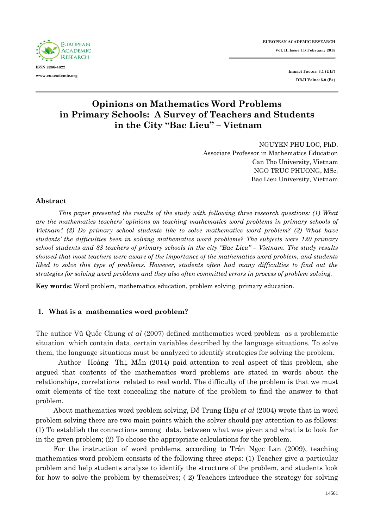

**Impact Factor: 3.1 (UIF) DRJI Value: 5.9 (B+)**

# **Opinions on Mathematics Word Problems in Primary Schools: A Survey of Teachers and Students in the City "Bac Lieu" – Vietnam**

NGUYEN PHU LOC, PhD. Associate Professor in Mathematics Education Can Tho University, Vietnam NGO TRUC PHUONG, MSc. Bac Lieu University, Vietnam

#### **Abstract**

*This paper presented the results of the study with following three research questions: (1) What are the mathematics teachers' opinions on teaching mathematics word problems in primary schools of Vietnam? (2) Do primary school students like to solve mathematics word problem? (3) What have students' the difficulties been in solving mathematics word problems? The subjects were 120 primary school students and 88 teachers of primary schools in the city "Bac Lieu" – Vietnam. The study results showed that most teachers were aware of the importance of the mathematics word problem, and students liked to solve this type of problems. However, students often had many difficulties to find out the strategies for solving word problems and they also often committed errors in process of problem solving.*

**Key words:** Word problem, mathematics education, problem solving, primary education.

#### **1. What is a mathematics word problem?**

The author Vũ Quốc Chung *et al* (2007) defined mathematics word problem as a problematic situation which contain data, certain variables described by the language situations. To solve them, the language situations must be analyzed to identify strategies for solving the problem.

Author Hoàng Thị Mẫn (2014) paid attention to real aspect of this problem, she argued that contents of the mathematics word problems are stated in words about the relationships, correlations related to real world. The difficulty of the problem is that we must omit elements of the text concealing the nature of the problem to find the answer to that problem.

About mathematics word problem solving, Đỗ Trung Hiệu *et al* (2004) wrote that in word problem solving there are two main points which the solver should pay attention to as follows: (1) To establish the connections among data, between what was given and what is to look for in the given problem; (2) To choose the appropriate calculations for the problem.

For the instruction of word problems, according to Trần Ngọc Lan (2009), teaching mathematics word problem consists of the following three steps: (1) Teacher give a particular problem and help students analyze to identify the structure of the problem, and students look for how to solve the problem by themselves; ( 2) Teachers introduce the strategy for solving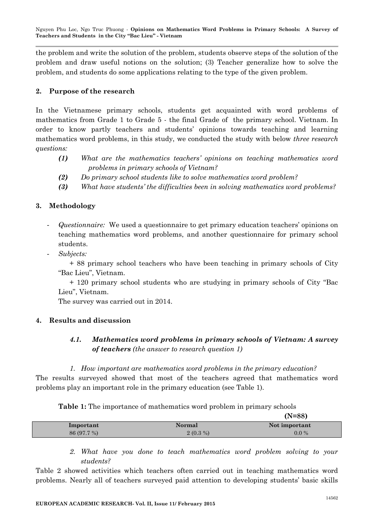the problem and write the solution of the problem, students observe steps of the solution of the problem and draw useful notions on the solution; (3) Teacher generalize how to solve the problem, and students do some applications relating to the type of the given problem.

# **2. Purpose of the research**

In the Vietnamese primary schools, students get acquainted with word problems of mathematics from Grade 1 to Grade 5 - the final Grade of the primary school. Vietnam. In order to know partly teachers and students' opinions towards teaching and learning mathematics word problems, in this study, we conducted the study with below *three research questions:*

- *(1) What are the mathematics teachers' opinions on teaching mathematics word problems in primary schools of Vietnam?*
- *(2) Do primary school students like to solve mathematics word problem?*
- *(3) What have students' the difficulties been in solving mathematics word problems?*

# **3. Methodology**

- *Questionnaire:* We used a questionnaire to get primary education teachers' opinions on teaching mathematics word problems, and another questionnaire for primary school students.
- *Subjects:*

+ 88 primary school teachers who have been teaching in primary schools of City "Bac Lieu", Vietnam.

+ 120 primary school students who are studying in primary schools of City "Bac Lieu", Vietnam.

The survey was carried out in 2014.

# **4. Results and discussion**

# *4.1. Mathematics word problems in primary schools of Vietnam: A survey of teachers (the answer to research question 1)*

# *1. How important are mathematics word problems in the primary education?*

The results surveyed showed that most of the teachers agreed that mathematics word problems play an important role in the primary education (see Table 1).

**Table 1:** The importance of mathematics word problem in primary schools

|             |            | $(N=88)$      |
|-------------|------------|---------------|
| Important   | Normal     | Not important |
| 86 (97.7 %) | $2(0.3\%)$ | $0.0\%$       |

*2. What have you done to teach mathematics word problem solving to your students?*

Table 2 showed activities which teachers often carried out in teaching mathematics word problems. Nearly all of teachers surveyed paid attention to developing students' basic skills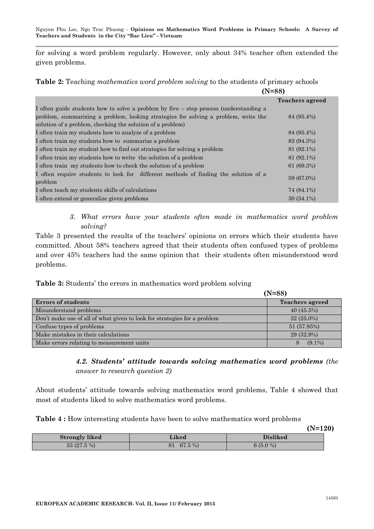Nguyen Phu Loc, Ngo Truc Phuong *-* **Opinions on Mathematics Word Problems in Primary Schools: A Survey of Teachers and Students in the City "Bac Lieu" - Vietnam**

for solving a word problem regularly. However, only about 34% teacher often extended the given problems.

**Table 2:** Teaching *mathematics word problem solving* to the students of primary schools

| $(N=88)$                                                                                       |                        |
|------------------------------------------------------------------------------------------------|------------------------|
|                                                                                                | <b>Teachers agreed</b> |
| I often guide students how to solve a problem by five – step process (understanding a          |                        |
| problem, summarizing a problem, looking strategies for solving a problem, write the            | 84 (95.4%)             |
| solution of a problem, checking the solution of a problem)                                     |                        |
| I often train my students how to analyze of a problem                                          | 84 (95.4%)             |
| I often train my students how to summarize a problem                                           | 83 (94.3%)             |
| I often train my student how to find out strategies for solving a problem                      | 81 (92.1%)             |
| I often train my students how to write the solution of a problem                               | 81 (92.1%)             |
| I often train my students how to check the solution of a problem                               | 61(69.3%)              |
| I often require students to look for different methods of finding the solution of a<br>problem | 59 (67.0%)             |
| I often teach my students skills of calculations                                               | 74 (84.1%)             |
| I often extend or generalize given problems                                                    | $30(34.1\%)$           |

*3. What errors have your students often made in mathematics word problem solving?*

Table 3 presented the results of the teachers' opinions on errors which their students have committed. About 58% teachers agreed that their students often confused types of problems and over 45% teachers had the same opinion that their students often misunderstood word problems.

**Table 3:** Students' the errors in mathematics word problem solving

|                                                                          | $(N=88)$               |
|--------------------------------------------------------------------------|------------------------|
| <b>Errors of students</b>                                                | <b>Teachers agreed</b> |
| Misunderstand problems                                                   | $40(45.5\%)$           |
| Don't make use of all of what given to look for strategies for a problem | $22(25.0\%)$           |
| Confuse types of problems                                                | 51 (57.95%)            |
| Make mistakes in their calculations                                      | 29 (32.9%)             |
| Make errors relating to measurement units                                | $(9.1\%)$<br>8         |

*4.2. Students' attitude towards solving mathematics word problems (the answer to research question 2)*

About students' attitude towards solving mathematics word problems, Table 4 showed that most of students liked to solve mathematics word problems.

| Table 4 : How interesting students have been to solve mathematics word problems |  |
|---------------------------------------------------------------------------------|--|
|---------------------------------------------------------------------------------|--|

|                       |                | $(N=120)$  |  |
|-----------------------|----------------|------------|--|
| <b>Strongly liked</b> | <b>Liked</b>   | Disliked   |  |
| $33(27.5\%)$          | $67.5\%$<br>81 | $6(5.0\%)$ |  |